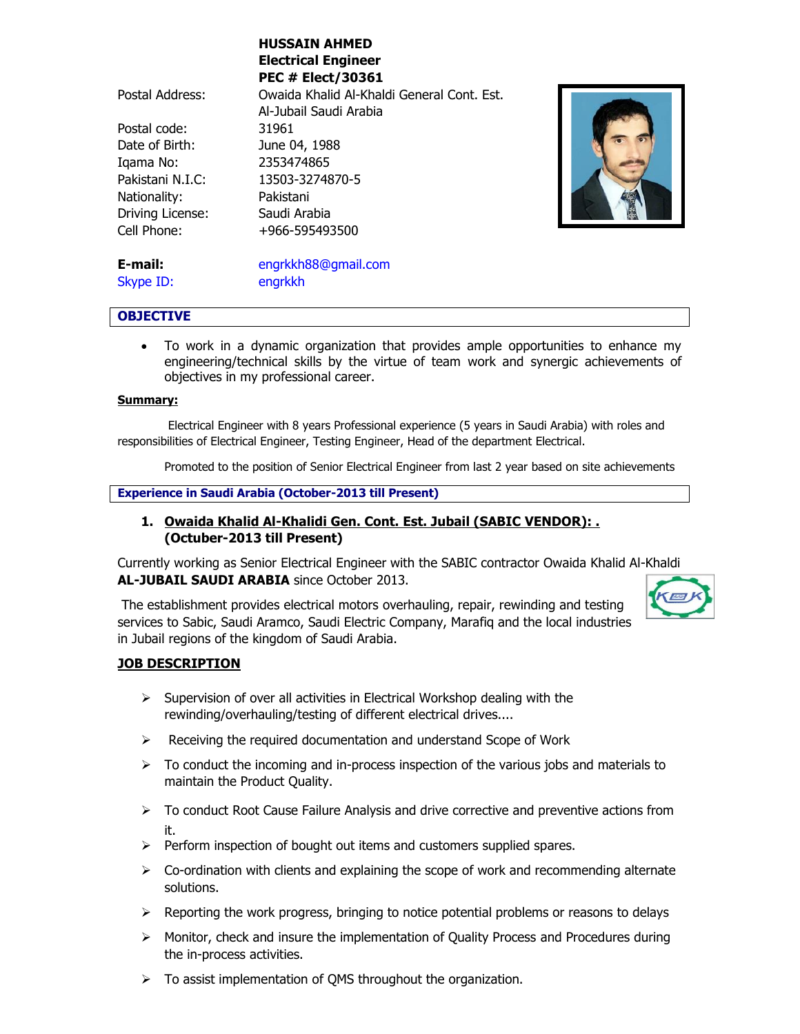|                  | MUSSAIN AMMED                              |
|------------------|--------------------------------------------|
|                  | <b>Electrical Engineer</b>                 |
|                  | <b>PEC # Elect/30361</b>                   |
| Postal Address:  | Owaida Khalid Al-Khaldi General Cont. Est. |
|                  | Al-Jubail Saudi Arabia                     |
| Postal code:     | 31961                                      |
| Date of Birth:   | June 04, 1988                              |
| Igama No:        | 2353474865                                 |
| Pakistani N.I.C: | 13503-3274870-5                            |
| Nationality:     | Pakistani                                  |
| Driving License: | Saudi Arabia                               |
| Cell Phone:      | +966-595493500                             |
|                  |                                            |
| E-mail:          | engrkkh88@gmail.com                        |

**HUSSAIN AHMED**



Skype ID: engrkkh

## **OBJECTIVE**

 To work in a dynamic organization that provides ample opportunities to enhance my engineering/technical skills by the virtue of team work and synergic achievements of objectives in my professional career.

## **Summary:**

Electrical Engineer with 8 years Professional experience (5 years in Saudi Arabia) with roles and responsibilities of Electrical Engineer, Testing Engineer, Head of the department Electrical.

Promoted to the position of Senior Electrical Engineer from last 2 year based on site achievements

### **Experience in Saudi Arabia (October-2013 till Present)**

# **1. Owaida Khalid Al-Khalidi Gen. Cont. Est. Jubail (SABIC VENDOR): . (Octuber-2013 till Present)**

Currently working as Senior Electrical Engineer with the SABIC contractor Owaida Khalid Al-Khaldi **AL-JUBAIL SAUDI ARABIA** since October 2013.

The establishment provides electrical motors overhauling, repair, rewinding and testing services to Sabic, Saudi Aramco, Saudi Electric Company, Marafiq and the local industries in Jubail regions of the kingdom of Saudi Arabia.

# **JOB DESCRIPTION**

- $\triangleright$  Supervision of over all activities in Electrical Workshop dealing with the rewinding/overhauling/testing of different electrical drives....
- $\triangleright$  Receiving the required documentation and understand Scope of Work
- $\triangleright$  To conduct the incoming and in-process inspection of the various jobs and materials to maintain the Product Quality.
- $\triangleright$  To conduct Root Cause Failure Analysis and drive corrective and preventive actions from it.
- $\triangleright$  Perform inspection of bought out items and customers supplied spares.
- $\triangleright$  Co-ordination with clients and explaining the scope of work and recommending alternate solutions.
- $\triangleright$  Reporting the work progress, bringing to notice potential problems or reasons to delays
- $\triangleright$  Monitor, check and insure the implementation of Quality Process and Procedures during the in-process activities.
- $\triangleright$  To assist implementation of QMS throughout the organization.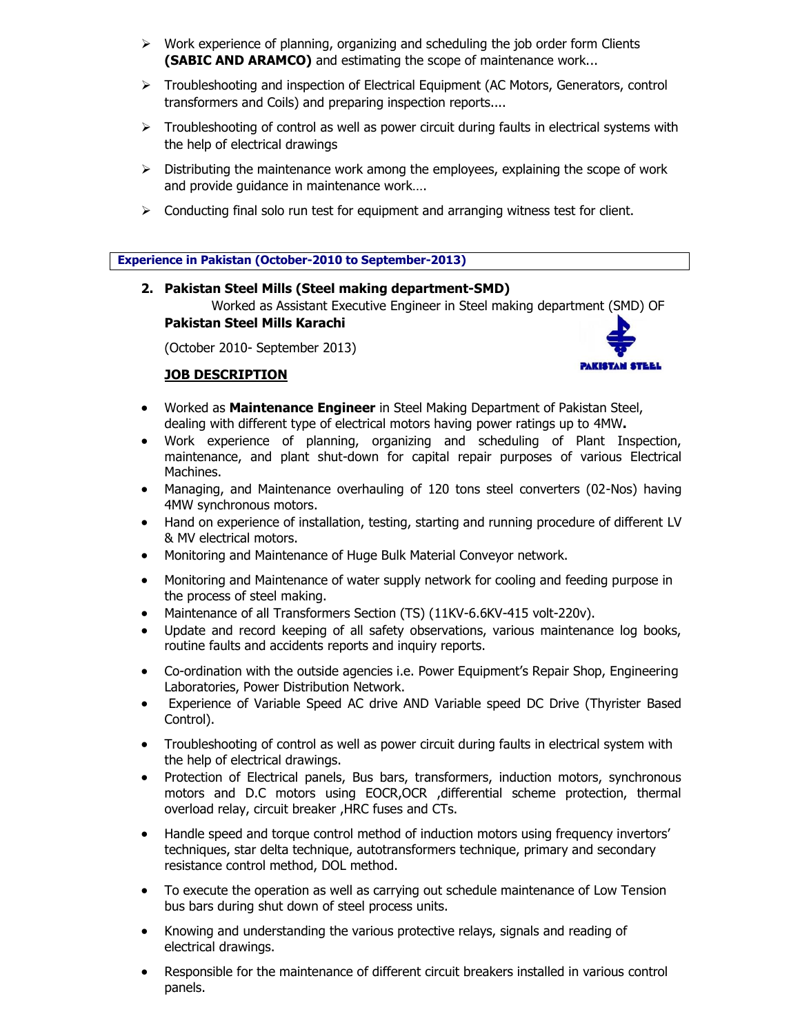- $\triangleright$  Work experience of planning, organizing and scheduling the job order form Clients **(SABIC AND ARAMCO)** and estimating the scope of maintenance work...
- $\triangleright$  Troubleshooting and inspection of Electrical Equipment (AC Motors, Generators, control transformers and Coils) and preparing inspection reports....
- $\triangleright$  Troubleshooting of control as well as power circuit during faults in electrical systems with the help of electrical drawings
- $\triangleright$  Distributing the maintenance work among the employees, explaining the scope of work and provide guidance in maintenance work….
- $\triangleright$  Conducting final solo run test for equipment and arranging witness test for client.

**Experience in Pakistan (October-2010 to September-2013)**

## **2. Pakistan Steel Mills (Steel making department-SMD)**

Worked as Assistant Executive Engineer in Steel making department (SMD) OF **Pakistan Steel Mills Karachi** 

(October 2010- September 2013)

## **JOB DESCRIPTION**



- Worked as **Maintenance Engineer** in Steel Making Department of Pakistan Steel, dealing with different type of electrical motors having power ratings up to 4MW**.**
- Work experience of planning, organizing and scheduling of Plant Inspection, maintenance, and plant shut-down for capital repair purposes of various Electrical Machines.
- Managing, and Maintenance overhauling of 120 tons steel converters (02-Nos) having 4MW synchronous motors.
- Hand on experience of installation, testing, starting and running procedure of different LV & MV electrical motors.
- Monitoring and Maintenance of Huge Bulk Material Conveyor network.
- Monitoring and Maintenance of water supply network for cooling and feeding purpose in the process of steel making.
- Maintenance of all Transformers Section (TS) (11KV-6.6KV-415 volt-220v).
- Update and record keeping of all safety observations, various maintenance log books, routine faults and accidents reports and inquiry reports.
- Co-ordination with the outside agencies i.e. Power Equipment's Repair Shop, Engineering Laboratories, Power Distribution Network.
- Experience of Variable Speed AC drive AND Variable speed DC Drive (Thyrister Based Control).
- Troubleshooting of control as well as power circuit during faults in electrical system with the help of electrical drawings.
- Protection of Electrical panels, Bus bars, transformers, induction motors, synchronous motors and D.C motors using EOCR,OCR ,differential scheme protection, thermal overload relay, circuit breaker ,HRC fuses and CTs.
- Handle speed and torque control method of induction motors using frequency invertors' techniques, star delta technique, autotransformers technique, primary and secondary resistance control method, DOL method.
- To execute the operation as well as carrying out schedule maintenance of Low Tension bus bars during shut down of steel process units.
- Knowing and understanding the various protective relays, signals and reading of electrical drawings.
- Responsible for the maintenance of different circuit breakers installed in various control panels.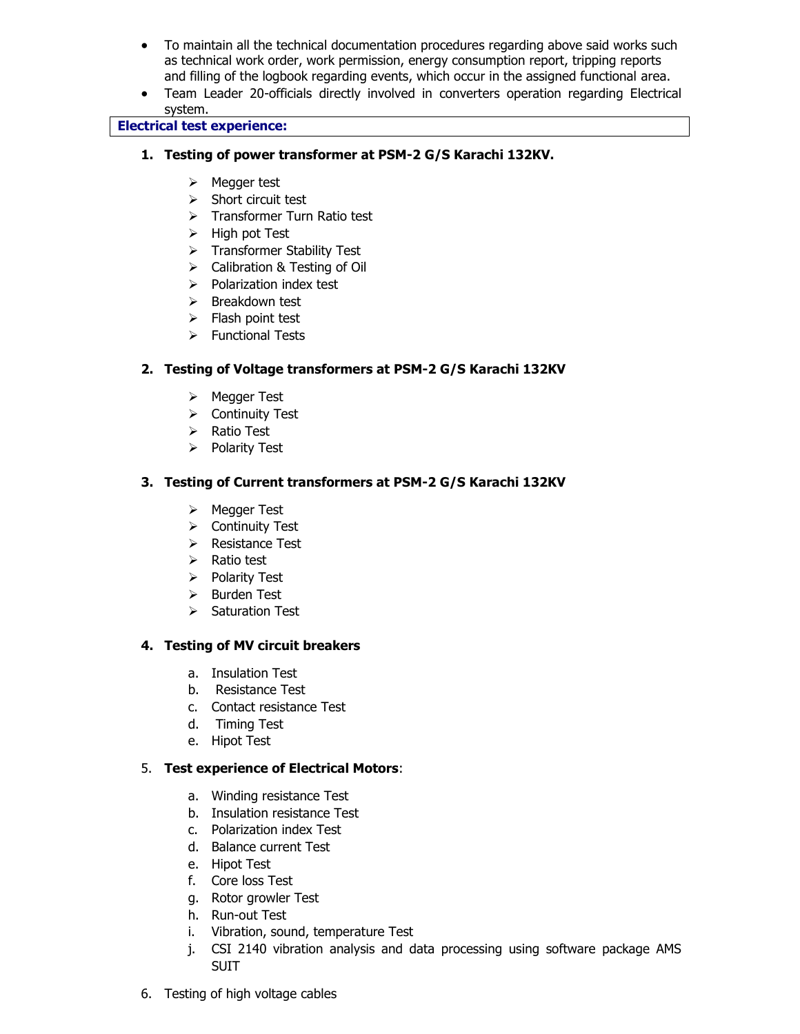- To maintain all the technical documentation procedures regarding above said works such as technical work order, work permission, energy consumption report, tripping reports and filling of the logbook regarding events, which occur in the assigned functional area.
- Team Leader 20-officials directly involved in converters operation regarding Electrical system.

## **Electrical test experience:**

- **1. Testing of power transformer at PSM-2 G/S Karachi 132KV.**
	- $\triangleright$  Megger test
	- $\triangleright$  Short circuit test
	- $\triangleright$  Transformer Turn Ratio test
	- $\triangleright$  High pot Test
	- > Transformer Stability Test
	- > Calibration & Testing of Oil
	- $\triangleright$  Polarization index test
	- $\triangleright$  Breakdown test
	- $\triangleright$  Flash point test
	- $\triangleright$  Functional Tests

# **2. Testing of Voltage transformers at PSM-2 G/S Karachi 132KV**

- Megger Test
- > Continuity Test
- $\triangleright$  Ratio Test
- $\triangleright$  Polarity Test

# **3. Testing of Current transformers at PSM-2 G/S Karachi 132KV**

- Megger Test
- $\triangleright$  Continuity Test
- $\triangleright$  Resistance Test
- $\triangleright$  Ratio test
- $\triangleright$  Polarity Test
- $\triangleright$  Burden Test
- $\triangleright$  Saturation Test

## **4. Testing of MV circuit breakers**

- a. Insulation Test
- b. Resistance Test
- c. Contact resistance Test
- d. Timing Test
- e. Hipot Test

## 5. **Test experience of Electrical Motors**:

- a. Winding resistance Test
- b. Insulation resistance Test
- c. Polarization index Test
- d. Balance current Test
- e. Hipot Test
- f. Core loss Test
- g. Rotor growler Test
- h. Run-out Test
- i. Vibration, sound, temperature Test
- j. CSI 2140 vibration analysis and data processing using software package AMS SUIT
- 6. Testing of high voltage cables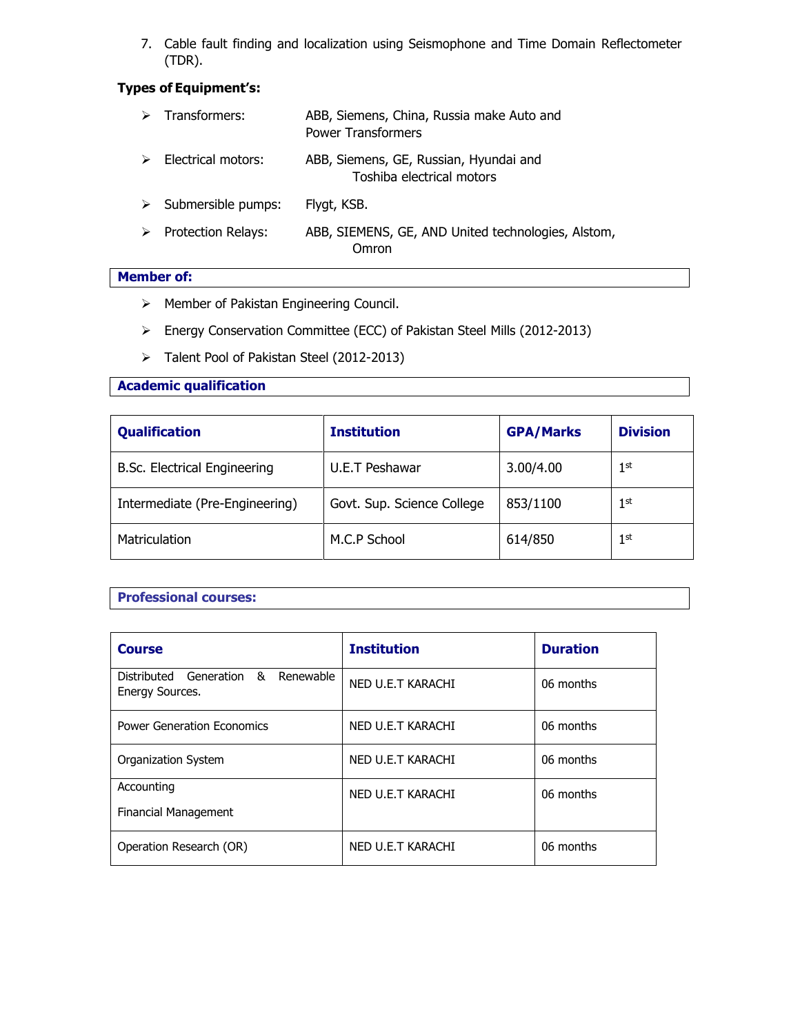7. Cable fault finding and localization using Seismophone and Time Domain Reflectometer (TDR).

# **Types of Equipment's:**

|                  | $\triangleright$ Transformers: | ABB, Siemens, China, Russia make Auto and<br><b>Power Transformers</b> |
|------------------|--------------------------------|------------------------------------------------------------------------|
| $\triangleright$ | Electrical motors:             | ABB, Siemens, GE, Russian, Hyundai and<br>Toshiba electrical motors    |
| ➤                | Submersible pumps:             | Flygt, KSB.                                                            |
| ➤                | <b>Protection Relays:</b>      | ABB, SIEMENS, GE, AND United technologies, Alstom,<br>Omron            |

## **Member of:**

- Member of Pakistan Engineering Council.
- Energy Conservation Committee (ECC) of Pakistan Steel Mills (2012-2013)
- > Talent Pool of Pakistan Steel (2012-2013)

## **Academic qualification**

| <b>Qualification</b>           | <b>Institution</b>         | <b>GPA/Marks</b> | <b>Division</b> |
|--------------------------------|----------------------------|------------------|-----------------|
| B.Sc. Electrical Engineering   | U.E.T Peshawar             | 3.00/4.00        | 1 <sup>st</sup> |
| Intermediate (Pre-Engineering) | Govt. Sup. Science College | 853/1100         | 1 <sup>st</sup> |
| Matriculation                  | M.C.P School               | 614/850          | 1 <sup>st</sup> |

## **Professional courses:**

| <b>Course</b>                                         | <b>Institution</b> | <b>Duration</b> |  |
|-------------------------------------------------------|--------------------|-----------------|--|
| Distributed Generation & Renewable<br>Energy Sources. | NED U.E.T KARACHI  | 06 months       |  |
| <b>Power Generation Economics</b>                     | NED U.E.T KARACHI  | 06 months       |  |
| <b>Organization System</b>                            | NED U.E.T KARACHI  | 06 months       |  |
| Accounting<br><b>Financial Management</b>             | NED U.E.T KARACHI  | 06 months       |  |
| Operation Research (OR)                               | NED U.E.T KARACHI  | 06 months       |  |